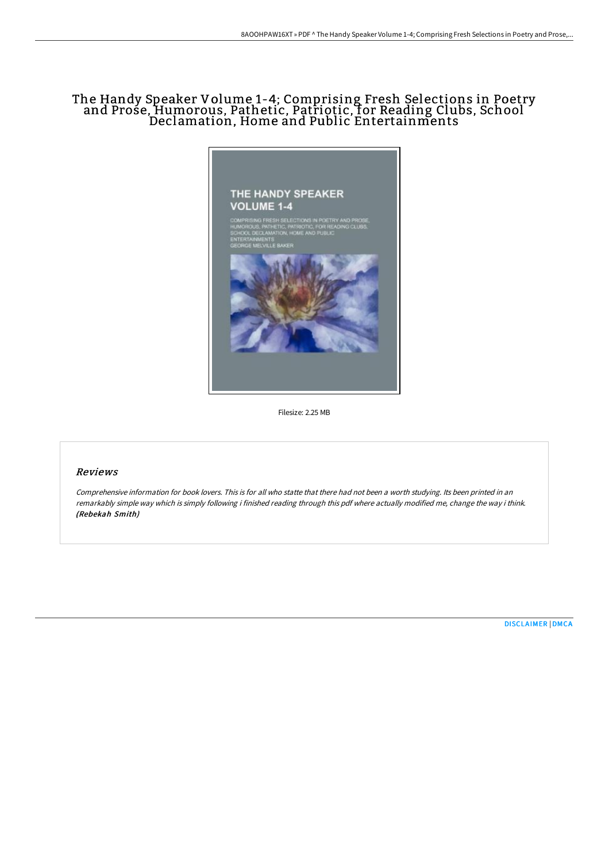## The Handy Speaker Volume 1-4; Comprising Fresh Selections in Poetry and Prose, Humorous, Pathetic, Patriotic, for Reading Clubs, School Declamation, Home and Public Entertainments



Filesize: 2.25 MB

### Reviews

Comprehensive information for book lovers. This is for all who statte that there had not been <sup>a</sup> worth studying. Its been printed in an remarkably simple way which is simply following i finished reading through this pdf where actually modified me, change the way i think. (Rebekah Smith)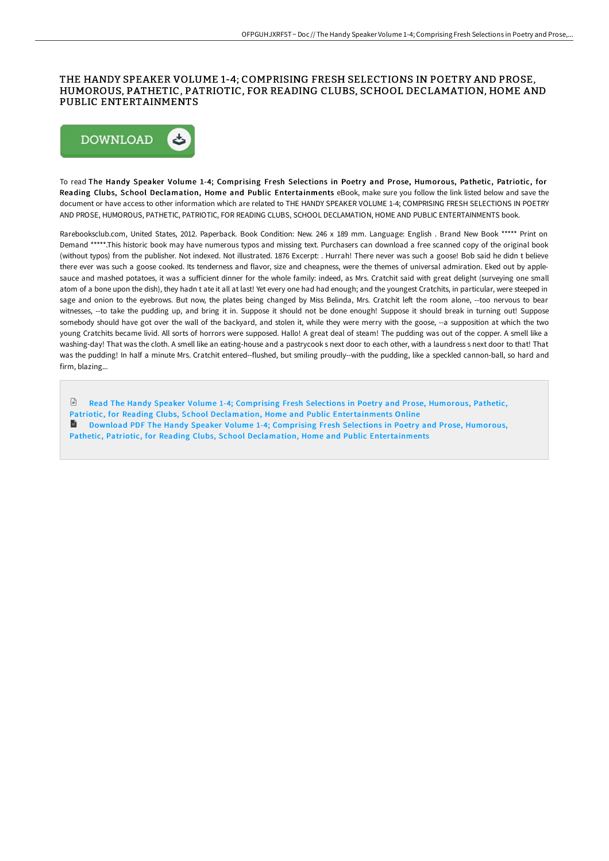### THE HANDY SPEAKER VOLUME 1-4; COMPRISING FRESH SELECTIONS IN POETRY AND PROSE, HUMOROUS, PATHETIC, PATRIOTIC, FOR READING CLUBS, SCHOOL DECLAMATION, HOME AND PUBLIC ENTERTAINMENTS



To read The Handy Speaker Volume 1-4; Comprising Fresh Selections in Poetry and Prose, Humorous, Pathetic, Patriotic, for Reading Clubs, School Declamation, Home and Public Entertainments eBook, make sure you follow the link listed below and save the document or have access to other information which are related to THE HANDY SPEAKER VOLUME 1-4; COMPRISING FRESH SELECTIONS IN POETRY AND PROSE, HUMOROUS, PATHETIC, PATRIOTIC, FOR READING CLUBS, SCHOOL DECLAMATION, HOME AND PUBLIC ENTERTAINMENTS book.

Rarebooksclub.com, United States, 2012. Paperback. Book Condition: New. 246 x 189 mm. Language: English . Brand New Book \*\*\*\*\* Print on Demand \*\*\*\*\*.This historic book may have numerous typos and missing text. Purchasers can download a free scanned copy of the original book (without typos) from the publisher. Not indexed. Not illustrated. 1876 Excerpt: . Hurrah! There never was such a goose! Bob said he didn t believe there ever was such a goose cooked. Its tenderness and flavor, size and cheapness, were the themes of universal admiration. Eked out by applesauce and mashed potatoes, it was a sufficient dinner for the whole family: indeed, as Mrs. Cratchit said with great delight (surveying one small atom of a bone upon the dish), they hadn t ate it all at last! Yet every one had had enough; and the youngest Cratchits, in particular, were steeped in sage and onion to the eyebrows. But now, the plates being changed by Miss Belinda, Mrs. Cratchit left the room alone, --too nervous to bear witnesses, --to take the pudding up, and bring it in. Suppose it should not be done enough! Suppose it should break in turning out! Suppose somebody should have got over the wall of the backyard, and stolen it, while they were merry with the goose, --a supposition at which the two young Cratchits became livid. All sorts of horrors were supposed. Hallo! A great deal of steam! The pudding was out of the copper. A smell like a washing-day! That was the cloth. A smell like an eating-house and a pastrycook s next door to each other, with a laundress s next door to that! That was the pudding! In half a minute Mrs. Cratchit entered--flushed, but smiling proudly--with the pudding, like a speckled cannon-ball, so hard and firm, blazing...

 $\mathbb{R}$ Read The Handy Speaker Volume 1-4; Comprising Fresh Selections in Poetry and Prose, Humorous, Pathetic, Patriotic, for Reading Clubs, School Declamation, Home and Public [Entertainments](http://www.bookdirs.com/the-handy-speaker-volume-1-4-comprising-fresh-se.html) Online

Download PDF The Handy Speaker Volume 1-4; Comprising Fresh Selections in Poetry and Prose, Humorous, Pathetic, Patriotic, for Reading Clubs, School Declamation, Home and Public [Entertainments](http://www.bookdirs.com/the-handy-speaker-volume-1-4-comprising-fresh-se.html)